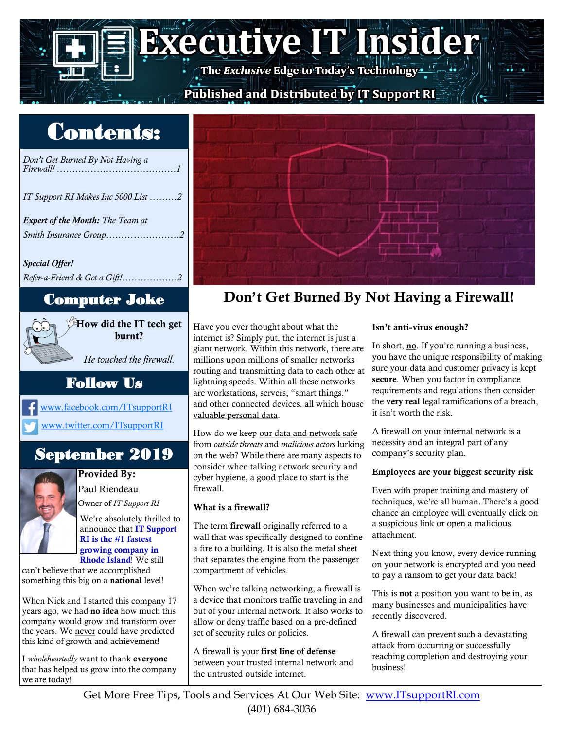# **Executive IT Insider**

## Published and Distributed by IT Support RI

## Contents:



We're absolutely thrilled to announce that IT Support RI is the #1 fastest growing company in Rhode Island! We still

can't believe that we accomplished something this big on a national level!

When Nick and I started this company 17 years ago, we had no idea how much this company would grow and transform over the years. We never could have predicted this kind of growth and achievement!

I *wholeheartedly* want to thank everyone that has helped us grow into the company we are today!



## Computer Joke Don't Get Burned By Not Having a Firewall!

Have you ever thought about what the internet is? Simply put, the internet is just a giant network. Within this network, there are millions upon millions of smaller networks routing and transmitting data to each other at lightning speeds. Within all these networks are workstations, servers, "smart things," and other connected devices, all which house valuable personal data.

How do we keep our data and network safe from *outside threats* and *malicious actors* lurking on the web? While there are many aspects to consider when talking network security and cyber hygiene, a good place to start is the firewall.

### What is a firewall?

The term firewall originally referred to a wall that was specifically designed to confine a fire to a building. It is also the metal sheet that separates the engine from the passenger compartment of vehicles.

When we're talking networking, a firewall is a device that monitors traffic traveling in and out of your internal network. It also works to allow or deny traffic based on a pre-defined set of security rules or policies.

A firewall is your first line of defense between your trusted internal network and the untrusted outside internet.

### Isn't anti-virus enough?

In short, no. If you're running a business, you have the unique responsibility of making sure your data and customer privacy is kept secure. When you factor in compliance requirements and regulations then consider the very real legal ramifications of a breach, it isn't worth the risk.

A firewall on your internal network is a necessity and an integral part of any company's security plan.

### Employees are your biggest security risk

Even with proper training and mastery of techniques, we're all human. There's a good chance an employee will eventually click on a suspicious link or open a malicious attachment.

Next thing you know, every device running on your network is encrypted and you need to pay a ransom to get your data back!

This is not a position you want to be in, as many businesses and municipalities have recently discovered.

A firewall can prevent such a devastating attack from occurring or successfully reaching completion and destroying your business!